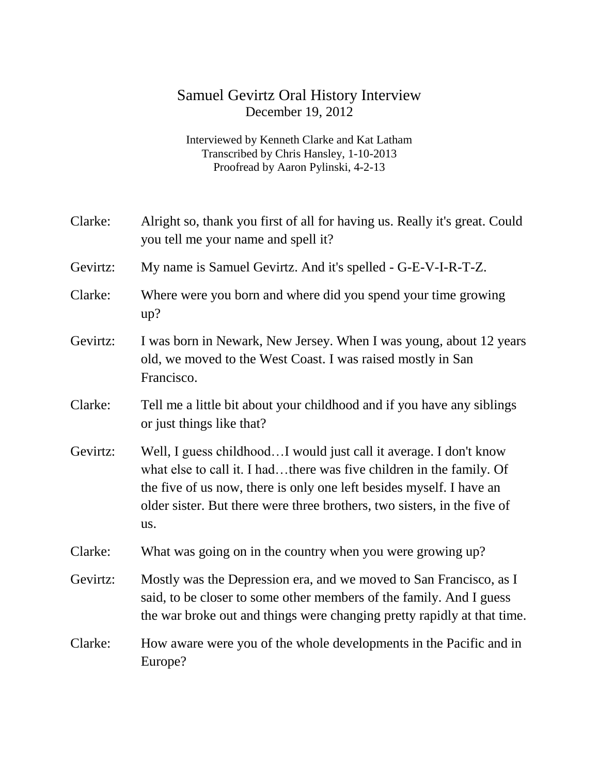## Samuel Gevirtz Oral History Interview December 19, 2012

Interviewed by Kenneth Clarke and Kat Latham Transcribed by Chris Hansley, 1-10-2013 Proofread by Aaron Pylinski, 4-2-13

| Clarke:  | Alright so, thank you first of all for having us. Really it's great. Could<br>you tell me your name and spell it?                                                                                                                                                                                    |
|----------|------------------------------------------------------------------------------------------------------------------------------------------------------------------------------------------------------------------------------------------------------------------------------------------------------|
| Gevirtz: | My name is Samuel Gevirtz. And it's spelled - G-E-V-I-R-T-Z.                                                                                                                                                                                                                                         |
| Clarke:  | Where were you born and where did you spend your time growing<br>up?                                                                                                                                                                                                                                 |
| Gevirtz: | I was born in Newark, New Jersey. When I was young, about 12 years<br>old, we moved to the West Coast. I was raised mostly in San<br>Francisco.                                                                                                                                                      |
| Clarke:  | Tell me a little bit about your childhood and if you have any siblings<br>or just things like that?                                                                                                                                                                                                  |
| Gevirtz: | Well, I guess childhoodI would just call it average. I don't know<br>what else to call it. I hadthere was five children in the family. Of<br>the five of us now, there is only one left besides myself. I have an<br>older sister. But there were three brothers, two sisters, in the five of<br>us. |
| Clarke:  | What was going on in the country when you were growing up?                                                                                                                                                                                                                                           |
| Gevirtz: | Mostly was the Depression era, and we moved to San Francisco, as I<br>said, to be closer to some other members of the family. And I guess<br>the war broke out and things were changing pretty rapidly at that time.                                                                                 |
| Clarke:  | How aware were you of the whole developments in the Pacific and in<br>Europe?                                                                                                                                                                                                                        |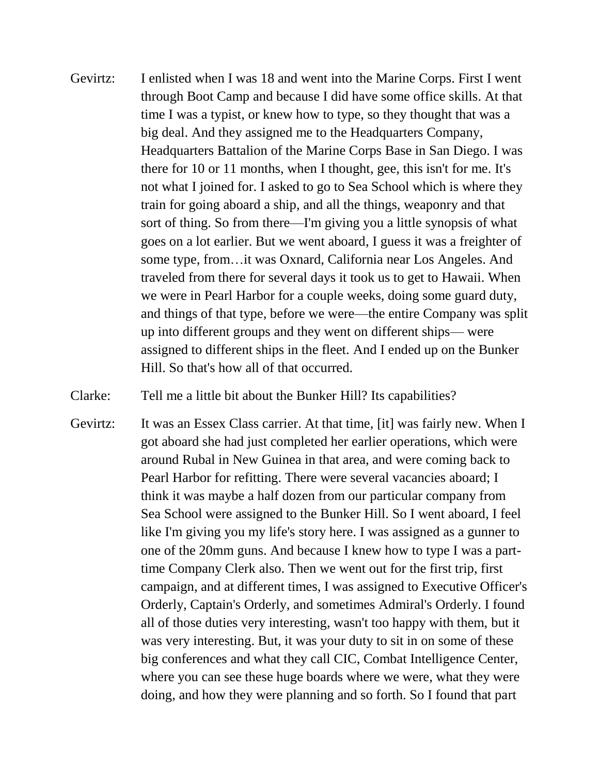Gevirtz: I enlisted when I was 18 and went into the Marine Corps. First I went through Boot Camp and because I did have some office skills. At that time I was a typist, or knew how to type, so they thought that was a big deal. And they assigned me to the Headquarters Company, Headquarters Battalion of the Marine Corps Base in San Diego. I was there for 10 or 11 months, when I thought, gee, this isn't for me. It's not what I joined for. I asked to go to Sea School which is where they train for going aboard a ship, and all the things, weaponry and that sort of thing. So from there—I'm giving you a little synopsis of what goes on a lot earlier. But we went aboard, I guess it was a freighter of some type, from…it was Oxnard, California near Los Angeles. And traveled from there for several days it took us to get to Hawaii. When we were in Pearl Harbor for a couple weeks, doing some guard duty, and things of that type, before we were—the entire Company was split up into different groups and they went on different ships— were assigned to different ships in the fleet. And I ended up on the Bunker Hill. So that's how all of that occurred.

Clarke: Tell me a little bit about the Bunker Hill? Its capabilities?

Gevirtz: It was an Essex Class carrier. At that time, [it] was fairly new. When I got aboard she had just completed her earlier operations, which were around Rubal in New Guinea in that area, and were coming back to Pearl Harbor for refitting. There were several vacancies aboard; I think it was maybe a half dozen from our particular company from Sea School were assigned to the Bunker Hill. So I went aboard, I feel like I'm giving you my life's story here. I was assigned as a gunner to one of the 20mm guns. And because I knew how to type I was a parttime Company Clerk also. Then we went out for the first trip, first campaign, and at different times, I was assigned to Executive Officer's Orderly, Captain's Orderly, and sometimes Admiral's Orderly. I found all of those duties very interesting, wasn't too happy with them, but it was very interesting. But, it was your duty to sit in on some of these big conferences and what they call CIC, Combat Intelligence Center, where you can see these huge boards where we were, what they were doing, and how they were planning and so forth. So I found that part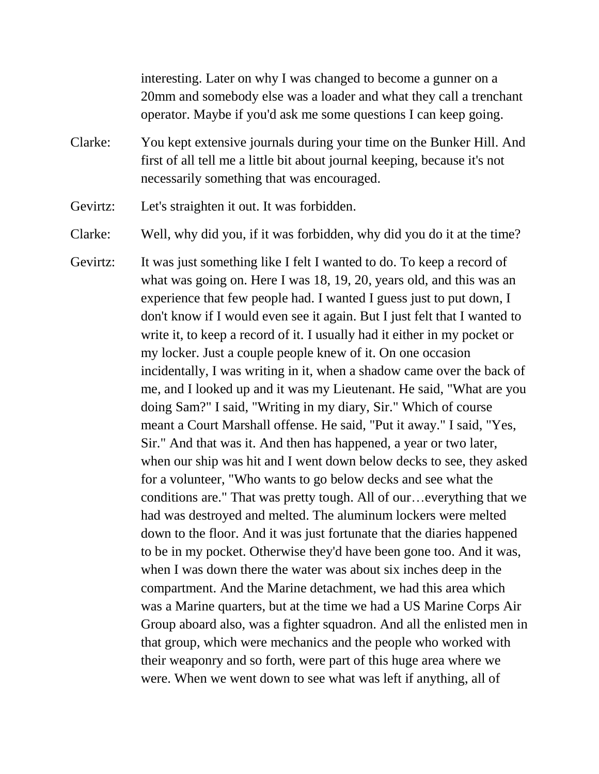interesting. Later on why I was changed to become a gunner on a 20mm and somebody else was a loader and what they call a trenchant operator. Maybe if you'd ask me some questions I can keep going.

- Clarke: You kept extensive journals during your time on the Bunker Hill. And first of all tell me a little bit about journal keeping, because it's not necessarily something that was encouraged.
- Gevirtz: Let's straighten it out. It was forbidden.

Clarke: Well, why did you, if it was forbidden, why did you do it at the time?

Gevirtz: It was just something like I felt I wanted to do. To keep a record of what was going on. Here I was 18, 19, 20, years old, and this was an experience that few people had. I wanted I guess just to put down, I don't know if I would even see it again. But I just felt that I wanted to write it, to keep a record of it. I usually had it either in my pocket or my locker. Just a couple people knew of it. On one occasion incidentally, I was writing in it, when a shadow came over the back of me, and I looked up and it was my Lieutenant. He said, "What are you doing Sam?" I said, "Writing in my diary, Sir." Which of course meant a Court Marshall offense. He said, "Put it away." I said, "Yes, Sir." And that was it. And then has happened, a year or two later, when our ship was hit and I went down below decks to see, they asked for a volunteer, "Who wants to go below decks and see what the conditions are." That was pretty tough. All of our…everything that we had was destroyed and melted. The aluminum lockers were melted down to the floor. And it was just fortunate that the diaries happened to be in my pocket. Otherwise they'd have been gone too. And it was, when I was down there the water was about six inches deep in the compartment. And the Marine detachment, we had this area which was a Marine quarters, but at the time we had a US Marine Corps Air Group aboard also, was a fighter squadron. And all the enlisted men in that group, which were mechanics and the people who worked with their weaponry and so forth, were part of this huge area where we were. When we went down to see what was left if anything, all of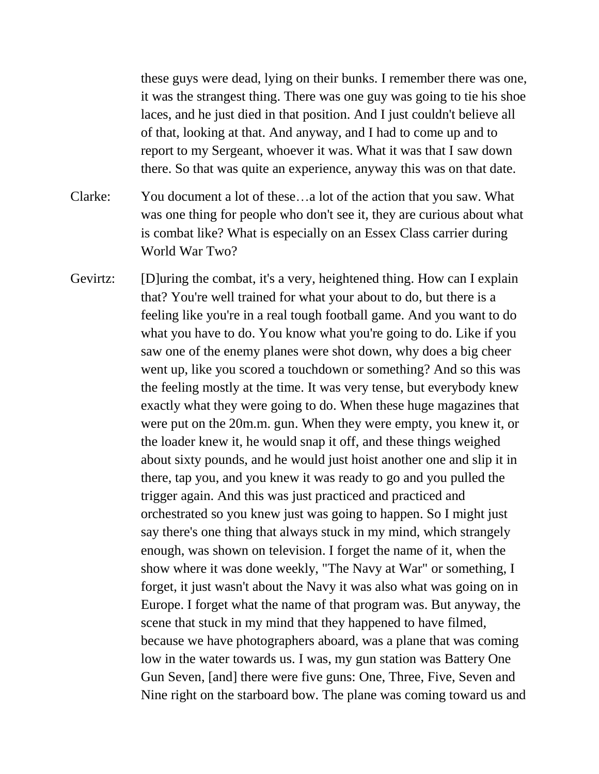these guys were dead, lying on their bunks. I remember there was one, it was the strangest thing. There was one guy was going to tie his shoe laces, and he just died in that position. And I just couldn't believe all of that, looking at that. And anyway, and I had to come up and to report to my Sergeant, whoever it was. What it was that I saw down there. So that was quite an experience, anyway this was on that date.

Clarke: You document a lot of these…a lot of the action that you saw. What was one thing for people who don't see it, they are curious about what is combat like? What is especially on an Essex Class carrier during World War Two?

Gevirtz: [D]uring the combat, it's a very, heightened thing. How can I explain that? You're well trained for what your about to do, but there is a feeling like you're in a real tough football game. And you want to do what you have to do. You know what you're going to do. Like if you saw one of the enemy planes were shot down, why does a big cheer went up, like you scored a touchdown or something? And so this was the feeling mostly at the time. It was very tense, but everybody knew exactly what they were going to do. When these huge magazines that were put on the 20m.m. gun. When they were empty, you knew it, or the loader knew it, he would snap it off, and these things weighed about sixty pounds, and he would just hoist another one and slip it in there, tap you, and you knew it was ready to go and you pulled the trigger again. And this was just practiced and practiced and orchestrated so you knew just was going to happen. So I might just say there's one thing that always stuck in my mind, which strangely enough, was shown on television. I forget the name of it, when the show where it was done weekly, "The Navy at War" or something, I forget, it just wasn't about the Navy it was also what was going on in Europe. I forget what the name of that program was. But anyway, the scene that stuck in my mind that they happened to have filmed, because we have photographers aboard, was a plane that was coming low in the water towards us. I was, my gun station was Battery One Gun Seven, [and] there were five guns: One, Three, Five, Seven and Nine right on the starboard bow. The plane was coming toward us and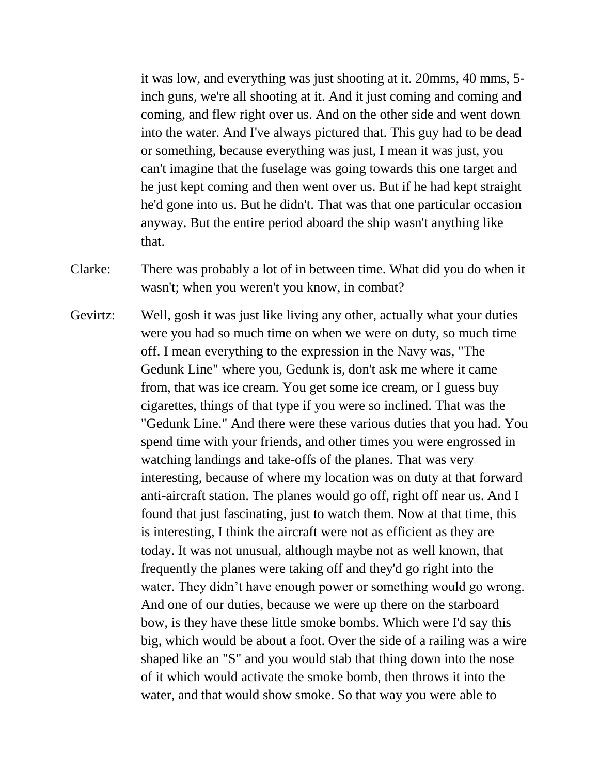it was low, and everything was just shooting at it. 20mms, 40 mms, 5 inch guns, we're all shooting at it. And it just coming and coming and coming, and flew right over us. And on the other side and went down into the water. And I've always pictured that. This guy had to be dead or something, because everything was just, I mean it was just, you can't imagine that the fuselage was going towards this one target and he just kept coming and then went over us. But if he had kept straight he'd gone into us. But he didn't. That was that one particular occasion anyway. But the entire period aboard the ship wasn't anything like that.

- Clarke: There was probably a lot of in between time. What did you do when it wasn't; when you weren't you know, in combat?
- Gevirtz: Well, gosh it was just like living any other, actually what your duties were you had so much time on when we were on duty, so much time off. I mean everything to the expression in the Navy was, "The Gedunk Line" where you, Gedunk is, don't ask me where it came from, that was ice cream. You get some ice cream, or I guess buy cigarettes, things of that type if you were so inclined. That was the "Gedunk Line." And there were these various duties that you had. You spend time with your friends, and other times you were engrossed in watching landings and take-offs of the planes. That was very interesting, because of where my location was on duty at that forward anti-aircraft station. The planes would go off, right off near us. And I found that just fascinating, just to watch them. Now at that time, this is interesting, I think the aircraft were not as efficient as they are today. It was not unusual, although maybe not as well known, that frequently the planes were taking off and they'd go right into the water. They didn't have enough power or something would go wrong. And one of our duties, because we were up there on the starboard bow, is they have these little smoke bombs. Which were I'd say this big, which would be about a foot. Over the side of a railing was a wire shaped like an "S" and you would stab that thing down into the nose of it which would activate the smoke bomb, then throws it into the water, and that would show smoke. So that way you were able to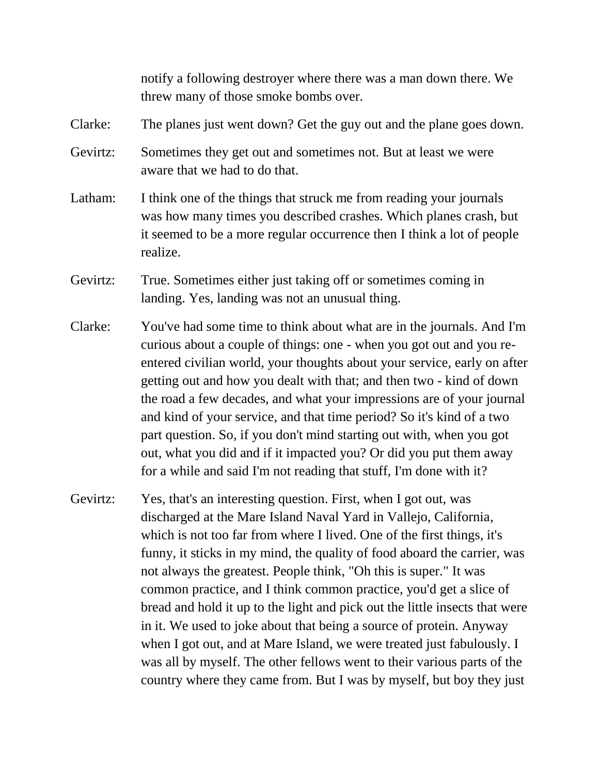notify a following destroyer where there was a man down there. We threw many of those smoke bombs over.

Clarke: The planes just went down? Get the guy out and the plane goes down.

- Gevirtz: Sometimes they get out and sometimes not. But at least we were aware that we had to do that.
- Latham: I think one of the things that struck me from reading your journals was how many times you described crashes. Which planes crash, but it seemed to be a more regular occurrence then I think a lot of people realize.
- Gevirtz: True. Sometimes either just taking off or sometimes coming in landing. Yes, landing was not an unusual thing.
- Clarke: You've had some time to think about what are in the journals. And I'm curious about a couple of things: one - when you got out and you reentered civilian world, your thoughts about your service, early on after getting out and how you dealt with that; and then two - kind of down the road a few decades, and what your impressions are of your journal and kind of your service, and that time period? So it's kind of a two part question. So, if you don't mind starting out with, when you got out, what you did and if it impacted you? Or did you put them away for a while and said I'm not reading that stuff, I'm done with it?
- Gevirtz: Yes, that's an interesting question. First, when I got out, was discharged at the Mare Island Naval Yard in Vallejo, California, which is not too far from where I lived. One of the first things, it's funny, it sticks in my mind, the quality of food aboard the carrier, was not always the greatest. People think, "Oh this is super." It was common practice, and I think common practice, you'd get a slice of bread and hold it up to the light and pick out the little insects that were in it. We used to joke about that being a source of protein. Anyway when I got out, and at Mare Island, we were treated just fabulously. I was all by myself. The other fellows went to their various parts of the country where they came from. But I was by myself, but boy they just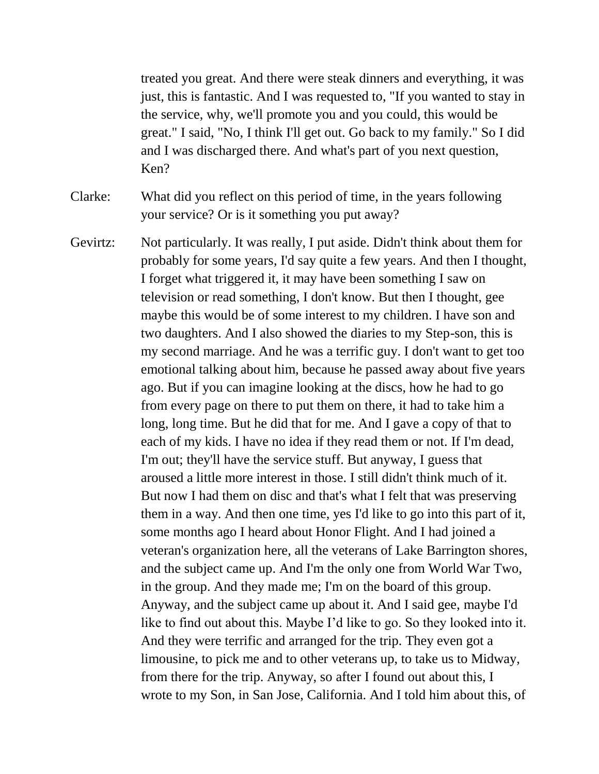treated you great. And there were steak dinners and everything, it was just, this is fantastic. And I was requested to, "If you wanted to stay in the service, why, we'll promote you and you could, this would be great." I said, "No, I think I'll get out. Go back to my family." So I did and I was discharged there. And what's part of you next question, Ken?

Clarke: What did you reflect on this period of time, in the years following your service? Or is it something you put away?

Gevirtz: Not particularly. It was really, I put aside. Didn't think about them for probably for some years, I'd say quite a few years. And then I thought, I forget what triggered it, it may have been something I saw on television or read something, I don't know. But then I thought, gee maybe this would be of some interest to my children. I have son and two daughters. And I also showed the diaries to my Step-son, this is my second marriage. And he was a terrific guy. I don't want to get too emotional talking about him, because he passed away about five years ago. But if you can imagine looking at the discs, how he had to go from every page on there to put them on there, it had to take him a long, long time. But he did that for me. And I gave a copy of that to each of my kids. I have no idea if they read them or not. If I'm dead, I'm out; they'll have the service stuff. But anyway, I guess that aroused a little more interest in those. I still didn't think much of it. But now I had them on disc and that's what I felt that was preserving them in a way. And then one time, yes I'd like to go into this part of it, some months ago I heard about Honor Flight. And I had joined a veteran's organization here, all the veterans of Lake Barrington shores, and the subject came up. And I'm the only one from World War Two, in the group. And they made me; I'm on the board of this group. Anyway, and the subject came up about it. And I said gee, maybe I'd like to find out about this. Maybe I'd like to go. So they looked into it. And they were terrific and arranged for the trip. They even got a limousine, to pick me and to other veterans up, to take us to Midway, from there for the trip. Anyway, so after I found out about this, I wrote to my Son, in San Jose, California. And I told him about this, of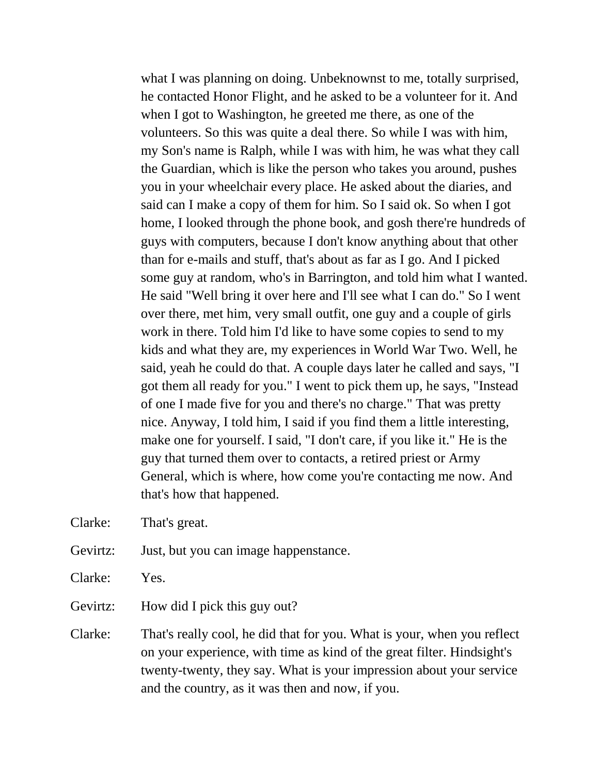what I was planning on doing. Unbeknownst to me, totally surprised, he contacted Honor Flight, and he asked to be a volunteer for it. And when I got to Washington, he greeted me there, as one of the volunteers. So this was quite a deal there. So while I was with him, my Son's name is Ralph, while I was with him, he was what they call the Guardian, which is like the person who takes you around, pushes you in your wheelchair every place. He asked about the diaries, and said can I make a copy of them for him. So I said ok. So when I got home, I looked through the phone book, and gosh there're hundreds of guys with computers, because I don't know anything about that other than for e-mails and stuff, that's about as far as I go. And I picked some guy at random, who's in Barrington, and told him what I wanted. He said "Well bring it over here and I'll see what I can do." So I went over there, met him, very small outfit, one guy and a couple of girls work in there. Told him I'd like to have some copies to send to my kids and what they are, my experiences in World War Two. Well, he said, yeah he could do that. A couple days later he called and says, "I got them all ready for you." I went to pick them up, he says, "Instead of one I made five for you and there's no charge." That was pretty nice. Anyway, I told him, I said if you find them a little interesting, make one for yourself. I said, "I don't care, if you like it." He is the guy that turned them over to contacts, a retired priest or Army General, which is where, how come you're contacting me now. And that's how that happened.

Clarke: That's great.

- Gevirtz: Just, but you can image happenstance.
- Clarke: Yes.
- Gevirtz: How did I pick this guy out?
- Clarke: That's really cool, he did that for you. What is your, when you reflect on your experience, with time as kind of the great filter. Hindsight's twenty-twenty, they say. What is your impression about your service and the country, as it was then and now, if you.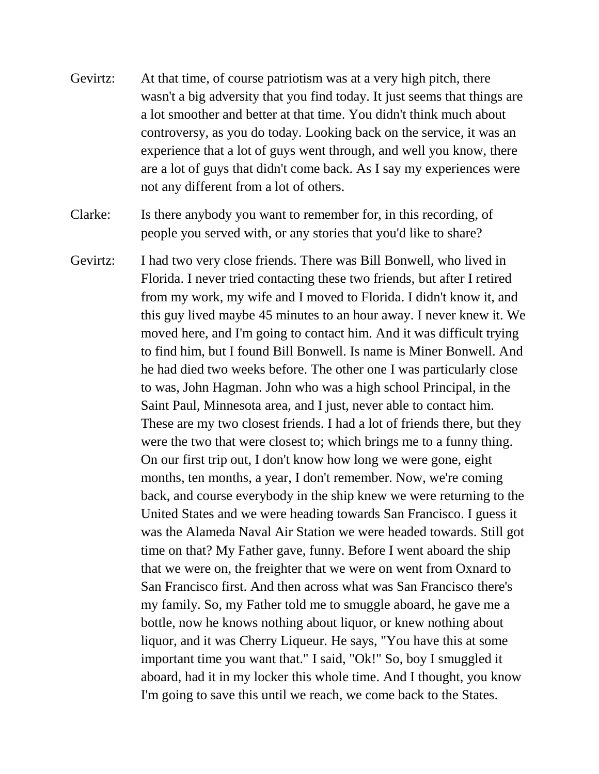Gevirtz: At that time, of course patriotism was at a very high pitch, there wasn't a big adversity that you find today. It just seems that things are a lot smoother and better at that time. You didn't think much about controversy, as you do today. Looking back on the service, it was an experience that a lot of guys went through, and well you know, there are a lot of guys that didn't come back. As I say my experiences were not any different from a lot of others.

Clarke: Is there anybody you want to remember for, in this recording, of people you served with, or any stories that you'd like to share?

Gevirtz: I had two very close friends. There was Bill Bonwell, who lived in Florida. I never tried contacting these two friends, but after I retired from my work, my wife and I moved to Florida. I didn't know it, and this guy lived maybe 45 minutes to an hour away. I never knew it. We moved here, and I'm going to contact him. And it was difficult trying to find him, but I found Bill Bonwell. Is name is Miner Bonwell. And he had died two weeks before. The other one I was particularly close to was, John Hagman. John who was a high school Principal, in the Saint Paul, Minnesota area, and I just, never able to contact him. These are my two closest friends. I had a lot of friends there, but they were the two that were closest to; which brings me to a funny thing. On our first trip out, I don't know how long we were gone, eight months, ten months, a year, I don't remember. Now, we're coming back, and course everybody in the ship knew we were returning to the United States and we were heading towards San Francisco. I guess it was the Alameda Naval Air Station we were headed towards. Still got time on that? My Father gave, funny. Before I went aboard the ship that we were on, the freighter that we were on went from Oxnard to San Francisco first. And then across what was San Francisco there's my family. So, my Father told me to smuggle aboard, he gave me a bottle, now he knows nothing about liquor, or knew nothing about liquor, and it was Cherry Liqueur. He says, "You have this at some important time you want that." I said, "Ok!" So, boy I smuggled it aboard, had it in my locker this whole time. And I thought, you know I'm going to save this until we reach, we come back to the States.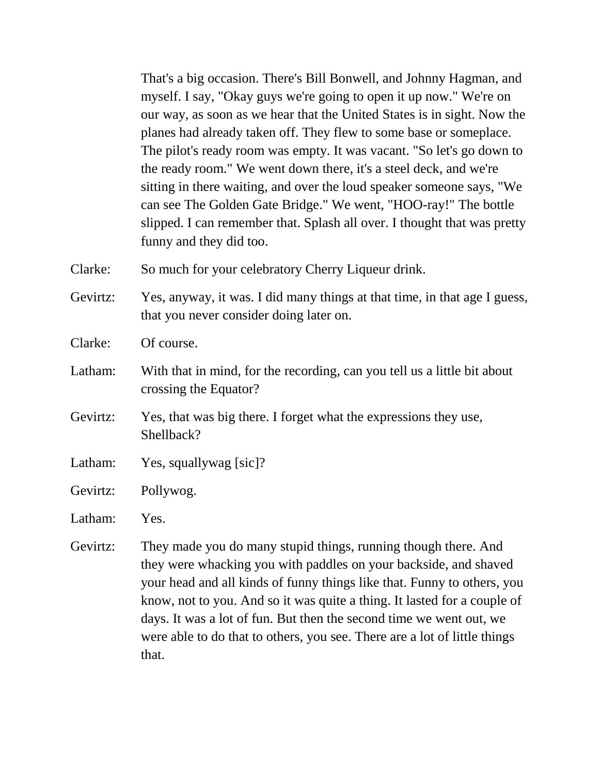That's a big occasion. There's Bill Bonwell, and Johnny Hagman, and myself. I say, "Okay guys we're going to open it up now." We're on our way, as soon as we hear that the United States is in sight. Now the planes had already taken off. They flew to some base or someplace. The pilot's ready room was empty. It was vacant. "So let's go down to the ready room." We went down there, it's a steel deck, and we're sitting in there waiting, and over the loud speaker someone says, "We can see The Golden Gate Bridge." We went, "HOO-ray!" The bottle slipped. I can remember that. Splash all over. I thought that was pretty funny and they did too.

Clarke: So much for your celebratory Cherry Liqueur drink.

Gevirtz: Yes, anyway, it was. I did many things at that time, in that age I guess, that you never consider doing later on.

Clarke: Of course.

- Latham: With that in mind, for the recording, can you tell us a little bit about crossing the Equator?
- Gevirtz: Yes, that was big there. I forget what the expressions they use, Shellback?
- Latham: Yes, squallywag [sic]?
- Gevirtz: Pollywog.

Latham: Yes.

Gevirtz: They made you do many stupid things, running though there. And they were whacking you with paddles on your backside, and shaved your head and all kinds of funny things like that. Funny to others, you know, not to you. And so it was quite a thing. It lasted for a couple of days. It was a lot of fun. But then the second time we went out, we were able to do that to others, you see. There are a lot of little things that.